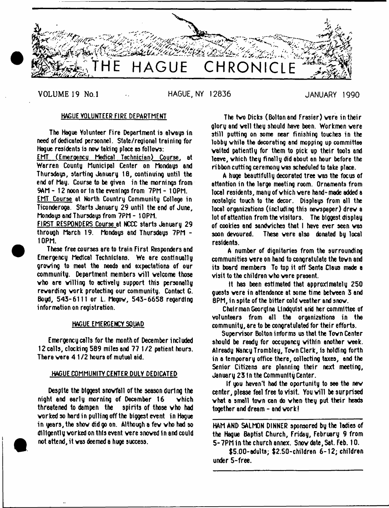

VOLUME 19 No.1 HAGUE. NY 12836 JANUARY 1990

## HAGUE YOLUNTEER FIRE DEPARTMENT

The Hague Volunteer Fire Department is always in need of dedicated personnel. State/regional training for Hague residents is nov taking place as follovs:

EMT (Emeroencu Medical Technician) Course, at Warren County Municipal Center on Mondays and Thursdays, starting January 18, continuing until the end of May. Course to be given in the mornings from 9AM- 12 noon or in the evenings from 7PM- 10PM.

EMT Course at Worth Country Community College in Ticonderoga. Starts January 29 until the end of June, Mondays and Thursdays from 7PM - 10PM.

FIRST RESPONDERS Course at NCCC starts January 29 through March 19. Mondaus and Thursdaus 7PM -10PM.

These free courses are to train First Responders and Emergency Medical Technicians. We are continually groving to meat the needs and expectations of our community. Department members will welcome those vho are willing to actively support this personally rewarding work protecting our community. Contact G. Boyd, 543-6111 or L. Megow, 543-6658 regarding information on registration.

## HAGUE EMERGENCY SQUAD

Emergency calls for the month of December included 12 calls, clocking 589 miles and 77 1 /2 patient hours. There were 4 1 /2 hours of mutual aid.

## HAGUE COMMUNITY CENTER DULY DEDICATED

Despite the biggest snowfall of the season during the night end early morning of December 16 which threatened to dampen the spirits of those who had worked so hard in pulling off the biggest event in Hague in years, the show did go on. Although a few who had so diligently worked on this event were snowed in and could not attend, it was deemed a huge success.

The two Dicks (Bolton and Frasier) were in their glory and well they should have been. Workmen were still putting on some near finishing touches in the lobby while the decorating and mopping up committee waited patiently for them to pick up their toots and leave, which they finally did about an hour before the ribbon cutting ceremony was scheduled to take place.

A huge beautifully decorated tree was the focus of attention in the large meeting room. Ornaments from local residents, many of which were hand- made added a nostalgic touch to the decor. Displays from all the local organizations (including this newspaper) drew a lot of attention from the visitors. The biggest display of cookies and sandwiches that I have ever seen was soon devoured. These were also donated by local residents.

A number of dignitaries from the surrounding communities were on hand to congratulate the town snd its board members. To top it off Santa Claus made a visit to the children who were present.

It has been estimated that approximately 250 guests were in attendance at some time between 3 and 8PM, in spite of the bitter cold weather and snow.

Chairman Georgina Lindquist arid her committee of volunteers from all the organizations in the community, are to be congratulated for their efforts.

Supervisor Bolton informs us that the Town Center should be ready for occupancy within another week. Already Nancy Trombley, Town Clerk, Is holding forth in a temporary office there, collecting taxes, and the Senior Citizens are planning their next meeting, January 23 In the Community Center.

If you haven't had the oportunity to see the new center, please feel free to visit. You will be surprised what a small town can do when they put their heads together and dream - and work!

HAM AND SALMON DINNER sponsored by the ladies of the Hague Baptist Church, Friday, February 9 from 5-7PM In the church annex. Snow date, Sat. Feb. 10.

\$5.00-edu1ts; \$2.50-children 6-12; children under 5-free.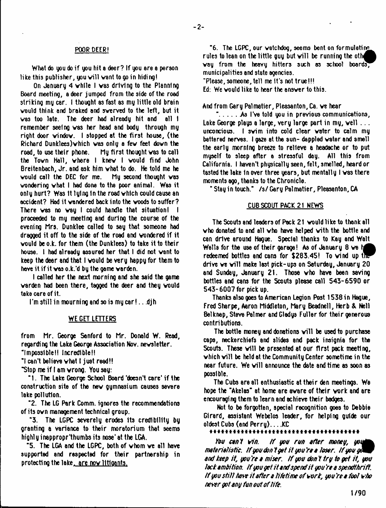## POOR DEER!

What do you do if you hit a deer? If you are a person like this publisher, you will want to go in hiding!

On January 4 vhlle I vas driving to the Planning Board meeting, a deer jumped from the side of the road striking my car. I thought as fast as my little old brain vould think and braked and sverved to the left, but it vas too late. The deer had already hit and all I remember seeing vas her head and body through my right door vindov. I stopped at the first house, (the Richard Dunk1ees)vhich vas only a few feet dovn the road, to use their phone. My first thought vas to call the Tovn Hall, vhere I knev I vould find John Breitenbach, Jr. and ask him vhat to do. He told me he vould call the DEC for me. My second thought vas vondering vhat I had dona to the poor animal. Was it only hurt? Was It lying In the road vhlch could cause an accident? Had it vandered back into the voods to suffer? There vas no vay I could handle that situation! I proceeded to my meeting and during the course of the evening Mrs. Dunklee called to say that someone had dragged it off to the side of the road and vondered if it vould be o.k. for them (the Dunklees) to take it to their house. I had already assured her that I did not vant to keep the deer and that I vould be very happy for them to have it if it vas o.k.'d by the game varden.

I called her the next morning and she said the game varden had been there, tagged the deer and they vould take care of it.

I'm still in mourning and so is my car!...djh

## WE GET LETTERS

from Mr. George Sanford to Mr. Donald W. Read, regarding the Lake George Association Nov. newsletter.

"Impossible!! Incredible!!

"I can't believe vhat t just read!!

"Stop me if I am vrong. You say:

" 1. The Lake George School Board 'doesn't care' if the construction site of the new gymnasium causes severe lake pollution.

"2. The LG Park Comm, ignores the recommendations of its ovn management technical group.

"3. The LGPC severely erodes its credibility by granting a variance to their moratorium that seems high] y i nappropr'thumbs its nose\* at the LGA.

"5. The LGA and the LGPC, both of vhom ve all have supported and respected for their partnership in protecting the lake, are now litigants.

"6. The LGPC, our vatchdog, seems bent on form ulating rules to lean on the little guy but will be running the other vay from the heavy hitters such os school boards; municipalities and state agencies.

"Please, someone, tell me it's not true!!!

Ed: We vould like to hear the ansver to this.

And from Gary Pal matter, Pleasanton, Ca. ve hear

" $\dots$  As I've told you in previous communications, Lake George plays a large, very large part in my, well ... unconcious. I svim into cold clear voter to calm my battered nerves. I gaze at the sun- dappled vater and small the early morning breeze to relieve a headache or to put myself to sleep after a stressful day. All this from California. I haven't physically seen, felt, smelled, heard or tasted the lake in over three years, but mentally I was there moments ago, thanks to the Chronicle.

"Stay in touch." /s/Gary Pal metier, Pleasanton, CA

# CUB SCOUT PACK 21 NEWS

The Scouts and leaders of Pack 21 vould like to thank all vho donated to and all vho have helped vith the bottle and can drive around Hague. Special thanks to Kay and Walt Wells for the use of their garage! As of January 8 we hi redeemed bottles and cans for \$283.45! To wind up the drive we will make last pick-ups on Saturday, January 20, and Sunday, January 21. Those vho have been saving bottles and cans for the Scouts please call 543-6590 or 543-6007 for pick up.

Thanks also goes to American Legion Post 1538 in Hague, Fred Sharpe, Aaron Middleton, Mary Beadnell, Herb & Nell Belknap, Steve Palmer and Gladys Fuller for their generous contributions.

The bottle money and donations will be used to purchase caps, neckerchiefs and slides and pack insignia for the Scouts. These will be presented at our first pack meeting, which will be held at the Community Center sometime in the near future. We will announce the date and time as soon as possible.

The Cubs are all enthusiastic at their den meetings. Wa hope the "Akelas" at home are avare of their vork and are encouraging them to learn and achieve their badges.

Not to be forgotten, special recognition goes to Debbie Girard, assistant Webelos leader, for helping guide our  $oldest Cubs (and Perry) \ldots KC$ 

t \* \* \* \* \* \* \* \* \* \* \* \* \* \* \* \* \* \* \* \* \* \* \* \* \* \*

Jfctf *cant tin. if you run after money, materialistic. If you don 1 get it you 're a laser. if you ge^J and keep it, you Ye a miser, if you don't try to get it, you tack ambition, if you get it and spend it you Ye a spendthrift, if you sti/t hate it after a titetime of vork, you Ye a foot vho never got any fun out of tife.*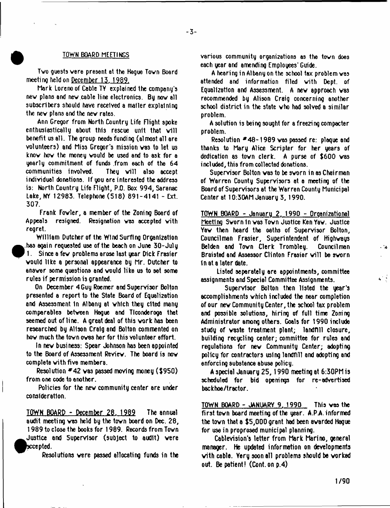#### £ TOWN BOARD MEETINGS

Tvo guests vere present at the Hague Tovn Board meeting held on December 13.1989.

Mark Lorenoof Cable TY explained the company's nev plans and new cable line electronics. By nov all subscribers should have received a mailer explaining the nev plans and the nev rates.

Ann Gregor from North Country Life Flight spoke enthusiastically about this rescue unit that will benefit us all. The group needs fundi ng (al most all are volunteers) and Miss Gregor's mission vas to let us knov hov the money vould be used and to ask for a yearly commitment of funds from each of the 64 communities involved. They will also accept individual donations. If you are interested the address is: North Country Life Flight, P.O. Box 994, Saranac Lake, NY 12983. Telephone (518) 891-4141 - Ext. 307.

Frank Fovler, a member of the Zoning Board of Appeals resigned. Resignation vas accepted vith regret.

William Dutcher of the Wind Surfing Organization  $\bullet$  has again requested use of the beach on June 30-July 1. Since a fev problems arose last year Dick Frasier vould like a personal appearance by Mr. Dutcher to ansvar some questions and vould like us to set some rules if permission is granted.

On December 4 Guy Roemer and Supervisor Bolton presented a report to the State Board of Equalization and Assessment In Albany at vhlch they cited many comparables betveen Hague and Tlconderoga that seemed out of line. A great deal of this vork has been researched by AHson Craig and Bolton commented on hov much the tovnoves her for this volunteer effort.

In nev business: Spear Johnson has been appointed to the Board of Assessment Reviev. The board is nov complete vith five members.

Resolution  $*42$  was passed moving money (\$950) from one code to another.

Policies for the nev community center are under consideration.

TOWN BOARD - December 28. 1989 The annual audit meeting vas held by the tovn board on Dec. 28, 1989 to close the books for 1989. Records from Tovn  $\bullet$ Justice and Supervisor (subject to audit) vere sccepted.

Resolutions vere passed allocating funds in the

various community organizations as the tovn does each year and amending Employees' Guide.

- 3-

A hearing in Albany on the school tax problem vas attended and information filed with Dept. of Equalization and Assessment. A nev approach vas recommended by Alison Craig concerning another school district in the state vho had solved a similar problem.

A solution is being sought for a freezing compacter problem.

Resolution #48-1989 was passed re: plaque and thanks to Mary Alice Scripter for her years of dedication as town clerk. A purse of \$600 was included, this from collected donations.

Supervisor Bolton was to be sworn in as Chairman of Warren County Supervisors at a meeting of the Board of Supervisors at the Warren County Munici pal Center at 10:30AM January 3,1990.

TOWN BOARD - January 2. 1990 - Organizational Meeting Svorn In vas Tovn Justice Ken Yav. Justice Yav then heard the oaths of Supervisor Bolton, Councilman Frasier, Superintendent of Highvays Belden and Tovn Clerk Trombley. Councilman Braisted and Assessor Clinton Frasier will be sworn In at a later date.

Listed separately are appointments, committee assignments ami Special Committee Assignments.

Supervisor Bolton then listed the year's accomplishments vhich included the near completion of our nev Community Center, the school tax problem and possible solutions, hiring of full time Zoning Administrator among others. Goals for 1990 include study of vaste treatment plant; landfill closure, building recycling center; committee for rules and regulations for nev Community Center; adopting policy for contractors using landfill and adopting and enforcing substance abuse policy.

A special January 25,1990 meeting at 6:30PM is scheduled for bid openings for re-advertised beckhoe/tractor.

TOWN BOARD - JANUARY 9. 1990 This vas the first tovn board meeting of the year. A.PA. informed the tovn that a \$5,000 grant had been avarded Hague for use in proprosed municipal planning.

Cablevision's letter from Mark Marino, general manager. He updated information on developments vith cable. Yery soon all problems should be worked out. Be patient! (Cont.on p.4)

- 3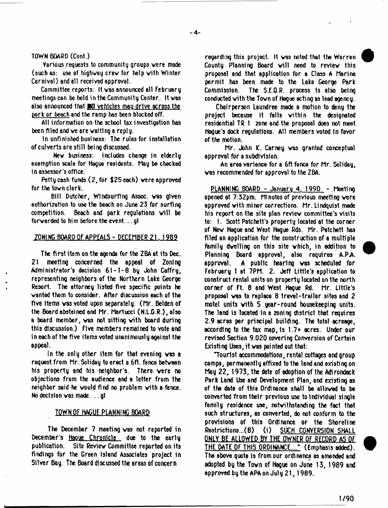- **4**-

## TOWN BOARD (Cont.)

Various requests to community groups vere made (such as: use of highvay crev for help vith Winter Carnival) and all received approval.

Committee reports: It vas announced all February meetings can be held in the Community Center. It vas also announced that WO vehicles mau drive across the oark or beech and the ramp has been blocked off.

All information on the school tax investigation has been filed and ve are vatting a reply.

In unfinished business: The rules for installation of culverts are still bei ng discussed.

Nev business: includes change in elderly exemption scale for Hague residents. May be checked in assessor's office.

Petty cash funds (2, for \$25 each) vere approved for the tovn clerk.

Bill Dutcher, Windsurfing Assoc, vas given authorization to use the beach on June 23 for surfing competition. Beach and park regulations will be forvarded to him before the event... gl

## ZONING BOARD OF APPEALS - DECEMBER 21. 1989

The first item on the agenda for the ZBA at its Dec. 21 meeting concerned the appeal of Zoning Administrator's decision 61-1-8 by John Caffry, representing neighbors of the Northern Lake George Resort, The attorney listed five specific points he vanted them to consider. After discussion each of the five items vas voted upon separately. (Mr. Belden of the Board abstained and Mr. Martucci (N.L.G.R.), also a board member, vas not sitting vith board during this discussion.) Five members remained to vote and i n each of the five items voted unani mousl y agai nst the appeal.

In the only other item for that evening vas a request from Mr. Soliday to erect a 6ft. fence between his property and his neighbor's. There vere no objections from the audience and a letter from the neighbor said he vould find no problem vith a fence. No decision was made...gl

## TOWN QF\_NAGUE PLANNING BOARD

The December 7 meeting vas not reported in December's Hague Chronicle due to the early publication. Site Review Committee reported on its findings for the Green Island Associates project in Silver Bay. The Board discussed the areas of concern

regarding this project. It vas noted that the Warren County Planning Board will need to review this proposal and that application for a Class A Marina permit has been made to the Lake George Park Commission. The S.E.Q.R. process Is also being conducted vith the Tovn of Hague acti ng as lead agency.

Chairperson Laundree made a motion to deny the project because it falls within the designated residential TR 1 2one and the proposal does not meet Hague's dock regulations. All members voted in favor of the motion.

Mr. John K. Carney was granted conceptual approval for a subdivision.

An area variance for a 6ft fence for Mr. Soliday, vas recommended for approval to the ZBA.

PLANNING BOARD - Januaru 4. 1990 - Meeting opened at 7:32pm. Minutes of previous meeting vere approved vith minor corrections. Mr. Lindquist made his report on the site plan review committee's visits to: 1. Scott Patchett's property located at the corner of New Hague and West Hague Rds. Mr. Patchett has filed an application for the construction of a multiple family dwelling on this site vhich, in addition to Planning Board approval, also requires A.PA approval. A public hearing vas scheduled for February 1 at 7PM. 2. Jeff Little's application to construct rental units on property located on the north corner of Ft. 8 and West Hague Rd. Mr. Little's proposal vas to replace 8 travel-trailer sites and 2 motel units vith 5 year-round housekeeping units. The land is located in a zoning district that requires 2.9 acres per principal building. The total acreage, according to the tax map, is 1.7+ acres. Under our revised Section 9.020 covering Conversion of Certain Existing Uses, it vas pointed out that:

Tourist accommodations, rental cottages and group camps, permanently affixed to the land end existing on May 22, 1973, the date of adoption of the Adirondack Park Land Use and Development Plan, and existing as of the date of this Ordinance shall be allowed to be converted from their previous use to Individual single family residence use, notvithstonding the feet that such structures, es converted, do not conform to the provisions of this Ordinance or the Shoreline Restrictions...(B) (i) SUCH CONVERSION SHALL ONLY BE ALLOWED BY THE OWNER OF RECORD AS OF THE DATE OF THIS ORDINANCE...." (Emphasis added). The above quote is from our ordinance es emended and adopted by the Tovn of Hague on June 13, 1989 and approved by the APA on July 21, 1989.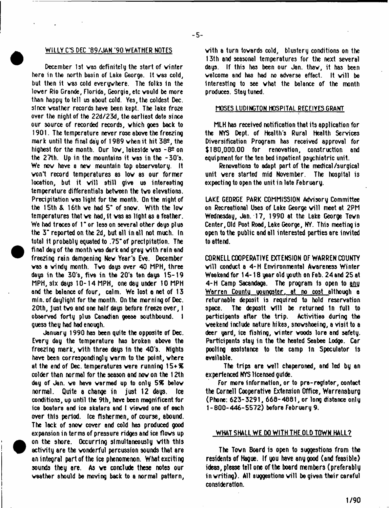#### WILLY C'S DEC '89/JAN '90 WEATHER NOTES

December 1st vas definitely the start of vinter here in the north basin of Lake George. It vas cold, but then it vas cold everywhere. The folks in the lover Rio Grande, Florida, Georgia, etc vould be more than happy to tell us about cold. Yes, the coldest Dec. since veather records have been kept. The lake froze over the night of the 22d/23d, the earliest date since our source of recorded records, vhich goes back to 1901. The temperature never rose above the freezing mark until the final day of 1989 when it hit 382, the highest for the month. Our low, lakeside was  $-8^{\circ}$  on the  $27th$ . Up in the mountains it was in the  $-30$ 's. We now have a new mountain top observatory. It von\*t record temperatures as lov as our former location, but it will still give us interesting temperature differentials betveen the tvo elevations. Precipitation vas light for the month. On the night of the 15th & 16th ve had 5" of snov. With the lov temperatures that ve had, It vas as light as a feather. We had traces of 1" or less on several other days plus the 3" reported on the 2d, but all in all not much. In total it probably equated to .75" of precipitation. The final day of the month vas dark and grey vith rain and freezing rain dampening Nev Year's Eve. December vas a vindy month. Tvo days over 40 MPH, three days in the 30's, five in the 20'a ten days 15-19 MPH, six days 10-14 MPH, one day under 10 MPH and the balance of four, calm. We lost a net of 13 min, of daylight for the month. On the morning of Dec. 20th, just tvo and one half days before freeze over, I observed forty plus Canadian geese southbound. I guess they had had enough.

January 1990 has been quite the opposite of Dec. Every day the temperature has broken above the freezing mark, vith three days 1n the 40's. Nights have been correspondingly varm to the point, vhere at the end of Dec. temperatures vere running 15+% colder than normal for the season and nov on the 12th day of Jan. ve have varmad up to only *5%* belov normal. Quite a change in just 12 days. Ice conditions, up until the 9th, have been magnificent for ice boaters and ice skaters and I vieved one of each over this period. Ice fishermen, of course, abound. The lack of snov cover and cold has produced good expansion in terms of pressure ridges and ice flovs up on the shore. Occurring simultaneously vith this activity are the vonderful percussion sounds that are an integral part of the ice phenomenon. What exciting sounds they are. As ve conclude these notes our vsather should be moving back to a normal pattern, vith a turn tovards cold, blustery conditions on the 13th and seasonal temperatures for the next several days. If this has been our Jan. thav, it has been welcome and has had no adverse effect. It will be Interesting to see vhat the balance of the month produces. Stay tuned.

# MOSES LUDINGTON HOSPITAL RECEIYESGRANT

MLH has received notification that its application for the NYS Dept, of Health's Rural Health Services Diversification Program has received approval for \$180,000.00 for renovation, construction and equipment for the ten bed inpatient psychiatric unit.

Renovations to adapt part of the medical/surgical unit vere started mid November. The hospital is expecting to open the unit in late February.

LAKE GEORGE PARK COMMISSION Advisory Committee on Recreational Uses of Lake George will meet at 2PM Wednesday, Jan. 17, 1990 at the Lake George Tovn Center, Old Post Road, Lake George, NY. This meeting is open to the public and all interested parties are invited to attend.

CORNELL COOPERATIVE EXTENSION OF WARREN COUNTY will conduct a 4-H Environmental Awareness Winter Weekend for 14-18 year old youth on Feb. 24 and 25 at 4-H Camp Sacandaga. The program 1s open to any Warren County youngster, at no cost although a returnable deposit is required to hold reservation space. The deposit will be returned in full to participants after the trip. Activities during the weekend include nature hikes, snovshoeing, a visit to a deer yard, ice fishing, vinter voods lore and safety. Participants stay in the the heated Seabee Lodge. Car pooling assistance to the camp 1n Speculator Is available.

The trips are veil chaperoned, and led by an experienced NYS licensed guide.

For more information, or to pre-register, contact the Cornell Cooperative Extension Office, Warrensburg (Phone: 623-3291, 660-4801, or long distance only 1-800-446-5572) before February 9.

## WHAT SHALL WE DO WITH THE OLD TOWN HALL?

The Tovn Board is open to suggestions from the residents of Hague. If you have any good (and feasible) ideas, please tell one of the board members (preferably in writing). All suggestions will be given their careful consideration.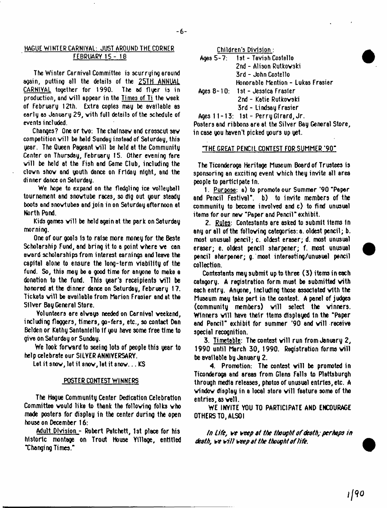# HAGUE WINTER CARMIYAL: JUST AROUND THE CORNER FEBRUARY 15 - 18

The Winter Carnival Committee is scurrying around again, putting all the details of the 25TH ANNUAL CARNIYAL together for 1990. The ad flyer is in production, and will appear in the Times of Ti the week of February 12th. Extra copies may be available as early as January 29, vith full details of the schedule of events included.

Changes? One or tvo: The chal nsav 8nd crosscut sav competition will be held Sunday instead of Saturday, this year. The Queen Pageant will be held at the Community Center on Thursday, February 15. Other evening fare will be held at the Fish and Game Club, including the clovn shov and youth dance on Friday night, and the dinner dance on Saturday.

We hope to expand on the fledgling ice volleyball tournament and snovtube races, so dig out your steady boots endsnovtubes and join in on Seturday afternoon at North Pond.

Kids games will be held again at the park on Saturday morning.

One of our goals Is to raise more money for the Beste Scholarship Fund, and bring it to a point vhere ve can avard scholarships from interest earnings and leave the capital alone to ensure the long-term viability of the fund. So, this may be a good time for anyone to make a donation to the fund. This year's receipients will be honored at the dinner dance on Saturday, February 17. Tickets will be available from Marion Frasier and at the Silver Bay General Store.

Volunteers are alvays needed on Carnival veekend, including flaggers, timers, go-fers, etc., so contact Dan Belden or Kathy Santanlello If you have some free ti me to give on Saturday or Sunday.

We look forward to seeing lots of people this year to help celebrate our SHYER ANNIVERSARY.

Let it snov, let it snov, let it snov... KS

## POSTER CONTEST WINNERS

The Hague Community Center Dedication Celebration Committee vould like to thank the folloving folks vho made posters for display in the center during the open house on December 16:

Adult Division - Robert Patchett, 1st place for his historic montage on Trout House Ylllage, entitled Xhanging Times."

Children's Division:

| Ages 5-7: 1st - Tavish Costello     |
|-------------------------------------|
| 2nd − Alison Rutkowski              |
| 3rd - John Costello                 |
| Honorable Mention - Lukas Frasier   |
| Ages 8-10: 1st - Jessica Frasier    |
| 2nd - Katie Rutkowski               |
| 3rd - Lindsay Frasier               |
| Ages 11-13: 1st - Perry Girard, Jr. |

Posters and ribbons are at the Silver Bay General Store, in case you haven't picked yours up yet.

#### "THE GREAT PENCIL CONTEST FOR SUMMER '90"

The Ticonderoga Heritage Museum Board of Trustees is sponsoring an exciting event vhich they invite all area people to participate In.

1. Purpose: a) to promote our Summer '90 "Paper and Pencil Festival", b) to invite members of the community to become involved and c) to find unusual items for our nev "Paper and Pencil" exhibit.

2. Rules: Contestants are asked to submit items In any or all of the folloving categories: a. oldest pencil; b. most unusual pencil; c. oldest eraser; d. most unusual eraser; e. oldest pencil sharpener; f. most unusual pencil sharpener; g. most interesting/un usual pencil collection.

Contestants may submit up to three (3) items in each category. A registration form must be submitted vith each entry. Anyone, Including those associated vith the Museum may take part in the contest. A panel of judges (community members) will select the winners. Winners will have their items displayed in the "Paper and Pencil" exhibit for summer '90 and will receive special recognition.

3. Timetable: The contest will run from January  $2$ , 1990 until March 30, 1990. Registration forms will be available by January 2.

4. Promotion: The contest will be promoted in Ticonderoga and areas from Glens Falls to Plattsburgh through media releases, photos of unusual entries, etc. A vindov display in a local store vill feature some of the entries, as veil.

WE INVITE YOU TO PARTICIPATE AND ENCOURAGE OTHERS TO, ALSO I

*In Lift,* it*•\* veap ti the thought of death; perhaps in death,* b \* t? // *weep at the thought of life.*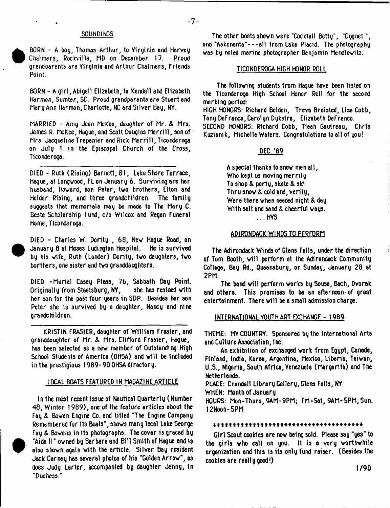## SQUNDIMGS

**•** 

<sup>•</sup>

 BORN - A boy, Thomas Arthur, to Virginia end Harvey Chalmers, Rockville, MD on December 17. Proud grandparents are Virginia and Arthur Chalmers, Friends Point.

 $-7-$ 

BORN - A girl, Abigail Elizabeth, to Kendall and Elizabeth Harmon, Sumter, SC. Proud grendperents ere Stuart and Mary Ann Harmon, Charlotte, NC and Silver Bay, NY.

MARRIED - Amy Jean McKee, daughter of Mr. & Mrs. James R. McKee, Hague, and Scott Douglas Merrill, son of Mrs. Jacqueline Trepanier and Rick Merrill, Ticonderoga on July 1 in the Episcopal Church of the Cross, Ticonderoga.

DIED - Ruth (Rising) Barnett, 81, Lake Shore Terrace, Hague, at Longvood, FL on January 6. Surviving are her husband, Hovard, son Peter, tvo brothers, Elton and Helder Rising, and three grandchildren. The family suggests that memorials may be mode to The Mary C. Beste Scholarship Fund, c/o Wilcox and Regan Funeral Home, Ticonderoga.

DIED - Charles W. Dority , 68, Nev Hague Road, on January 8 at Moses Ludington Hospital. He is survived by his vife, Ruth (Lander) Dority, tvo daughters, tvo borthers, one sister and tvo granddaughters.

DIED -Muriel Casey Plass, 76, Sabbath Day Point. Originally from Staatsburg, NY, she has resided vith her son for the past four years in SDP. Besides her son Peter she is survived by a daughter, Nancy and nine grandchildren.

KRISTIN FRASIER, daughter of William Frasier, and granddaughter of Mr. & Mrs. Clifford Frasier, Hogue, has been selected as a nev member of Outstanding High School Students of America (OHSA) and will be included in the prestigious 1989-90 OHSA directory.

# LOCAL BOATS FEATURED IN MAGAZINE ARTICLE

In the most recent issue of Nautical Quarterly (Number 48, Winter 1989), one of the feature articles about the Fay & Boven Engine Co. and titled ~The Engine Company Remembered for its Boats", shovs many local Lake George Fay & Bovens in its photographs. The cover is graced by "Aida II" ovned by Barbara and Bill Smith of Hague and is also shovn again vith the article. Silver Bay resident Jack Carney has several photos of his "Golden Arrow", as does Judy Larter, accompanied by daughter Jenny, in "Duchess."

The other boats shovn vere "Cocktail Betty', "Cygnet", and "Askenonta"---all from Lake Placid. The photography vas by noted marine photographer Benjamin Mendlovit2.

## TICONDEROGA HIGH HONOR ROLL

The folloving students from Hague have been listed on the Ticonderoga High School Honor Roll for the second marking period:

HIGH HONORS: Richard Belden, Treva Breisted, Lisa Cobb, Tony DeFranco, Carolyn Dykstra, Elizabeth DeFranco. SECOND HONORS: Richard Cobb, Tleah Gautreau, Chris Kuzienik, Michelle Waters. Congratulations to all of you!

## DEC. '89

A special thanks to snov men all. Who kept us moving merrily To shop & party, skate & ski Thru snov & cold and, Yerily, Were there vhen needed night & day With salt and sand & cheerful ways. ...HYS

#### ADIRONDACK WINDS TO PERFORM

The Adirondack Winds of Glens Falls, under the direction of Tom Booth, will perform at the Adirondack Community College, Bey Rd., Queenabury, on Sunday, January 28 et 2PM.

The band will perform works by Sousa, Bach, Dvorak and others. This promises to be an afternoon of great entertainment. There will be a small admission charge.

## INTERNATIONAL YOUTH ART EXCHANGE - 1989

THEME: MY COUNTRY. Sponsored by the International Arts and Culture Association, Inc.

An exhibition of exchanged vork from Egypt, Canada, Finland, India, Korea, Argentina, Mexico, Liberia, Taiwan, U..S., Nigeria, South Africa, Yenezuela (Margarita) and The Netherlands.

PLACE: Crandall Library Gallery, Glens Falls, NY

WHEN: Month of January

HOURS: Mon-Thurs,9AM-9PM; Fri-Set, 9AM-5PM;Sun. !2Noon-5PM

#### *\*\*\*\*\*\*\*\*\*\*\*\*\*\*\*\*\*\*\*\*\*\*\*\*\*\*\*\*\*\*\*\*\*\*\*\*\*\**

Girl Scout cookies are nov bel ng sold. Please say "yes" to the girls vho call on you. It is a very worthwhile organization and this is its only fund raiser. (Besides the cookies are really good!)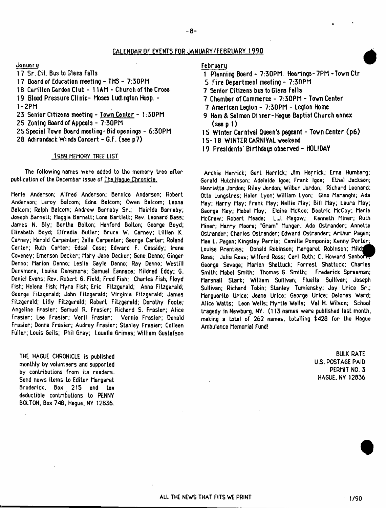## CALEHDAR OF EYENT5 FOR JANUARY/FEBRUARY 1990

Jonuaru

- 17 Sr. Cit. Bus to Glens Falls
- 17 Board of Education meeting THS 7:30PM
- 18 Carillon Garden Club 11AM Church of the Cross
- 19 Blood Pressure Clinic- Moses Ludington Hosp. 1 -2PM
- 23 Senior Citizens meeting Tovn Center 1:30PM
- 25 Zonl ng Board of Appeals 7:30PM
- 25 Special Tovn Board meeti ng- Bid openi ngs 6:30PM
- 28 Adirondack Winds Concert G.F. (see p7)

## 1989 MEMORY TREE LIST

The following names were added to the memory tree after publication of the December issue of The Haoue Chronicle.

Merle Anderson; Alfred Anderson; Bernice Anderson; Robert Anderson; Leroy Balcom; Edna Belcom; Owen Balcom; Leona Balcom; Ralph Balcom; Andrew Barnaby Sr.; Meirlda Barnaby; Joseph Barnett; Maggie Barnett; Lona Bartlett; Rev. Leonard Bass; James N. Bly; Bertha Bolton; Hanford Bolton; George Boyd; Elizabeth Boyd; Elfredia Butler; Bruce W. Carney; Lillian K. Carney; Harold Carpenter; Zella Carpenter; George Carter; Roland Carter; Ruth Carter; Edsal Case; Edward F. Cassidy; Irene Coveney; Emerson Decker; Mary Jane Decker; Gene.Denno; Ginger Denno; Marion Denno; Leslie Gayle Denno; Ray Denno; Westill Densmore, Louise Densmore; Samuel Eannace; Mildred Eddy; G. Daniel Evans; Rev. Robert 6. Field; Fred Fish; Charles Fish; Floyd Fish; Helena Fish; Myra Fish; Eric Fitzgerald; Anna Fitzgerald; George Fitzgerald; John Fitzgerald; Virginia Fitzgerald; James Fitzgerald; Lilly Fitzgerald; Robert Fitzgerald; Dorothy Foote; Angeline Frasier; Samuel R. Frasier; Richard S. Frasier; Alice Frasier; Lee Frasier; Veril Frasier; Vernie Frasier; Donald Frasier; Donna Frasier; Audrey Frasier; Stanley Frasier; Colleen Fuller; Louis Geils; Phil Gray; Louella Grimes; William Gustafson

THE HAGUE CHRONICLE is published monthly by volunteers and supported by contributions from its readers. Send news items to Editor Margaret Broderick, Box 215 and tax deductible contributions to PENNY BOLTON, Box 748, Hague, NY 12836.

#### Februaru

- 1 Planning Board 7:30PM. Hearings-7PM-Tovn Ctr
- 5 Fire Department meeting 7:30PM
- 7 Senior Citizens bus to Glens Falls
- 7 Chamber of Commerce 7:30PM Tovn Center
- 7 American Legion 7:30PM Legion Home
- 9 Ham & Salmon Dinner-Hague Baptist Church annex  $($ see p 1 $)$
- 15 Winter Carnival Queen's pageant Tovn Center (p6)
- 15-18 WINTER CARNIVAL vaakend
- 19 Presidents' Birthdags observed HOLIDAY

Archie Herrick; Gert Herrick; Jim Herrick; Erna Humberg; Gerald Hutchinson; Adelaide Igoe; Frank Igoe; Ethel Jackson; Henrietta Jordon; Riley Jordon; Wilbur Jordon; Richard Leonard; Otto LungsLras; Helen Lyon; William Lyon; Gino Maranghi; Ada May; Harry May; Frank May; Nellie May; Bill May; Laura May; George May; Mabel May; Elaine McKee; Beatric McCoy; Marie McCraw; Robert Meade; LJ. Megow; Kenneth Miner; RuLh Miner; Harry Moore; ' Gram\* Munger; Ada Ostrander; Annette Ostrander; Charles Ostrander; Edward Ostrander; Arthur Pagen; Mae L. Pagen; Kingsley Perria; Camille Pomponio; Kenny Porter; Louise Prentiss; Donald Robinson; Margaret Robinson; Milda Ross; Julia Ross; Wilford Ross; Carl Ruth; C. Howard Sanbort George Savage; Marion Shattuck; Forrest Shattuck; Charles Smith; Mabel Smith; Thomas 6. Smith; Frederick Spreeman; Marshall Stark; William Sullivan; Fluella Sullivan; Joseph Sullivan; Richard Tobin; Stanley Tumiensky; Jay Urice Sr.; Marguerite Urlce; Jeane Urlce; George Urice; Delores Ward; Alice Watts; Leon Wells; Myrtle Wells; Val H. Wilson; School tragedy in Newburg, NY. (113 names were published last month, making a total of 262 names, totalling \$428 for the Hague Ambulance Memorial Fund!

> BULK RATE U.S. POSTAGE PAID PERMIT NO. 3 HAGUE. NY 12836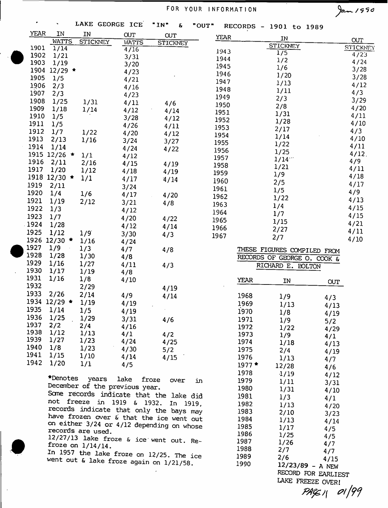# FOR YOUR INFORMATION 2000

 $\mathbb{Z}^2$ 

 $\bar{\beta}$ 

| ٠                       | LAKE GEORGE ICE                                                                         |              | "IN"<br>Ŀ       | "OUT" |             | RECORDS - 1901 to 1989      |            |                 |
|-------------------------|-----------------------------------------------------------------------------------------|--------------|-----------------|-------|-------------|-----------------------------|------------|-----------------|
| <b>YEAR</b><br>IN       | IN                                                                                      | <b>CUT</b>   | <b>CUT</b>      | YEAR  |             | IN                          |            |                 |
| <b>WATTS</b>            | <b>STICKNEY</b>                                                                         | <b>WATTS</b> | <b>STICKNEY</b> |       |             | <b>STICKNEY</b>             |            | <b>OUT</b>      |
| 1901<br>1/14            |                                                                                         | 4/16         |                 | 1943  |             | 1/5                         |            | <b>STICKNEY</b> |
| 1902<br>1/21            |                                                                                         | 3/31         |                 | 1944  |             | 1/2                         |            | 4/23<br>4/24    |
| 1903<br>1/19            |                                                                                         | 3/20         |                 | 1945  |             | 1/6                         |            | 3/28            |
| 1904 12/29 *<br>1905    |                                                                                         | 4/23         |                 | 1946  |             | 1/20                        |            | 3/28            |
| 1/5<br>1906             |                                                                                         | 4/21         |                 | 1947  |             | 1/13                        |            | 4/12            |
| 2/3<br>1907             |                                                                                         | 4/16         |                 | 1948  |             | 1/11                        |            | 4/3             |
| 2/3<br>1908             |                                                                                         | 4/23         |                 | 1949  |             | 2/3                         |            | 3/29            |
| 1/25<br>1909<br>1/18    | 1/31                                                                                    | 4/11         | 4/6             | 1950  |             | 2/8                         |            | 4/20            |
| 1910<br>1/5             | 1/14                                                                                    | 4/12         | 4/14            | 1951  |             | 1/31                        |            | 4/11            |
| 1911<br>1/5             |                                                                                         | 3/28         | 4/12            | 1952  |             | 1/28                        |            | 4/10            |
| 1912<br>1/7             |                                                                                         | 4/26         | 4/11            | 1953  |             | 2/17                        |            | 4/3             |
| 1913<br>2/13            | 1/22<br>1/16                                                                            | 4/20         | 4/12            | 1954  |             | 1/14                        |            | 4/10            |
| 1914<br>1/14            |                                                                                         | 3/24         | 3/27            | 1955  |             | 1/22                        |            | 4/11            |
| 1915 12/26 *            | 1/1                                                                                     | 4/24         | 4/22            | 1956  |             | 1/25                        |            | $4/12$ .        |
| 1916<br>2/11            | 2/16                                                                                    | 4/12         |                 | 1957  |             | 1/14                        |            | 4/9             |
| 1917<br>1/20            | 1/12                                                                                    | 4/15         | 4/19            | 1958  |             | 1/21                        |            | 4/11            |
| 1918<br>$12/30$ $\star$ | 1/1                                                                                     | 4/18         | 4/19            | 1959  |             | 1/9                         |            | 4/18            |
| 1919<br>2/11            |                                                                                         | 4/17         | 4/14            | 1960  |             | 2/5                         |            | 4/17            |
| 1920<br>1/4             | 1/6                                                                                     | 3/24         |                 | 1961  |             | 1/5                         |            | 4/9             |
| 1921<br>1/19            | 2/12                                                                                    | 4/17         | 4/20            | 1962  |             | 1/22                        |            | 4/13            |
| 1922<br>1/3             |                                                                                         | 3/21         | 4/8             | 1963  |             | 1/4                         |            | 4/15            |
| 1923<br>1/7             |                                                                                         | 4/12         |                 | 1964  |             | 1/7                         |            | 4/15            |
| 1924<br>1/28            |                                                                                         | 4/20         | 4/22            | 1965  |             | 1/15                        |            | 4/21            |
| 1925<br>1/12            | 1/9                                                                                     | 4/12         | 4/14            | 1966  |             | 2/27                        |            | 4/11            |
| 1926 12/30 *            | 1/16                                                                                    | 3/30         | 4/3             | 1967  |             | 2/7                         |            | 4/10            |
| 1927<br>1/9             | 1/3                                                                                     | 4/24         |                 |       |             |                             |            |                 |
| 1928<br>1/28            | 1/30                                                                                    | 4/7<br>4/8   | 4/8             |       |             | THESE FIGURES COMPILED FROM |            |                 |
| 1929<br>1/16            | 1/27                                                                                    | 4/11         |                 |       |             | RECORDS OF GEORGE O. COOK & |            |                 |
| 1930<br>1/17            | 1/19                                                                                    | 4/8          | 4/3             |       |             | RICHARD E. BOLTON           |            |                 |
| 1931<br>1/16            | 1/8                                                                                     | 4/10         |                 |       | <b>YEAR</b> |                             |            |                 |
| 1932                    | 2/29                                                                                    |              | 4/19            |       |             | IN                          | <b>OUT</b> |                 |
| 1933<br>2/26            | 2/14                                                                                    | 4/9          | 4/14            |       | 1968        |                             |            |                 |
| $1934$ 12/29 $\star$    | 1/19                                                                                    | 4/19         |                 |       | 1969        | 1/9                         | 4/3        |                 |
| 1935<br>1/14            | 1/5                                                                                     | 4/19         |                 |       | 1970        | 1/13                        | 4/13       |                 |
| 1936<br>1/25            | 1/29                                                                                    | 3/31         |                 |       | 1971        | 1/8                         | 4/19       |                 |
| 1937<br>2/2             | 2/4                                                                                     | 4/16         | 4/6             |       | 1972        | 1/9                         | 5/2        |                 |
| 1938<br>1/12            | 1/13                                                                                    | 4/1          | 4/2             |       | 1973        | 1/22<br>1/9                 | 4/29       |                 |
| 1939<br>1/27            | 1/23                                                                                    | 4/24         | 4/25            |       | 1974        | 1/18                        | 4/1        |                 |
| 1940<br>1/8             | 1/23                                                                                    | 4/30         | 5/2             |       | 1975        | 2/4                         | 4/13       |                 |
| 1941<br>1/15            | 1/10                                                                                    | 4/14         | 4/15            |       | 1976        | 1/13                        | 4/19       |                 |
| 1942<br>1/20            | 1/1                                                                                     | 4/5          |                 |       | $1977*$     | 12/28                       | 4/7        |                 |
|                         |                                                                                         |              |                 |       | 1978        | 1/19                        | 4/6        |                 |
|                         | *Denotes years                                                                          | lake         | froze<br>over   | in    | 1979        | 1/11                        | 4/12       |                 |
|                         | December of the previous year.                                                          |              |                 |       | 1980        | 1/31                        | 3/31       |                 |
|                         | Some records indicate that the lake did                                                 |              |                 |       | 1981        | 1/3                         | 4/10       |                 |
|                         | not freeze in 1919 & 1932. In 1919,                                                     |              |                 |       | 1982        | 1/13                        | 4/1        |                 |
|                         | records indicate that only the bays may                                                 |              |                 |       | 1983        | 2/10                        | 4/20       |                 |
|                         | have frozen over & that the ice went out                                                |              |                 |       | 1984        | 1/13                        | 3/23       |                 |
|                         | on either 3/24 or 4/12 depending on whose                                               |              |                 |       | 1985        | 1/17                        | 4/14       |                 |
|                         | records are used.                                                                       |              |                 |       | 1986        | 1/25                        | 4/5<br>4/5 |                 |
|                         | $12/27/13$ lake froze & ice went out. Re-                                               |              |                 |       | 1987        | 1/26                        | 4/7        |                 |
|                         | froze on $1/14/14$ .                                                                    |              |                 |       | 1988        | 2/7                         | 4/7        |                 |
|                         | In 1957 the lake froze on 12/25. The ice<br>Went out $\&$ lake froze again on $1/21/50$ |              |                 |       | 1989        | 2/6                         | 4/15       |                 |
|                         |                                                                                         |              |                 |       |             |                             |            |                 |

**went out & lake froze again on 1/21/58.**

 $\overline{\phantom{a}}$ 

**1990 12/23/89 - A NEW RECORD FOR EARLIEST LAKE FREEZE OVER!**

*PAf&i\*